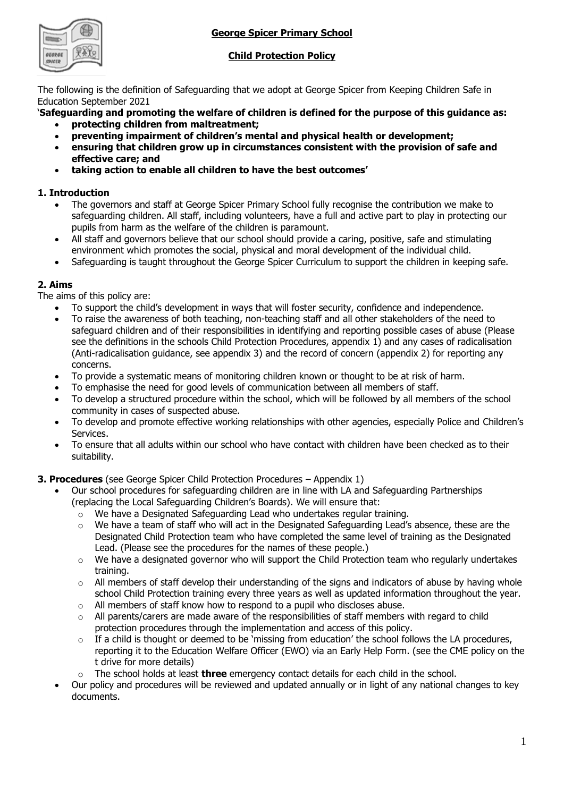**George Spicer Primary School**



### **Child Protection Policy**

The following is the definition of Safeguarding that we adopt at George Spicer from Keeping Children Safe in Education September 2021

'**Safeguarding and promoting the welfare of children is defined for the purpose of this guidance as:**

- **protecting children from maltreatment;**
- **preventing impairment of children's mental and physical health or development;**
- **ensuring that children grow up in circumstances consistent with the provision of safe and effective care; and**
- **taking action to enable all children to have the best outcomes'**

# **1. Introduction**

- The governors and staff at George Spicer Primary School fully recognise the contribution we make to safeguarding children. All staff, including volunteers, have a full and active part to play in protecting our pupils from harm as the welfare of the children is paramount.
- All staff and governors believe that our school should provide a caring, positive, safe and stimulating environment which promotes the social, physical and moral development of the individual child.
- Safeguarding is taught throughout the George Spicer Curriculum to support the children in keeping safe.

# **2. Aims**

The aims of this policy are:

- To support the child's development in ways that will foster security, confidence and independence.
- To raise the awareness of both teaching, non-teaching staff and all other stakeholders of the need to safeguard children and of their responsibilities in identifying and reporting possible cases of abuse (Please see the definitions in the schools Child Protection Procedures, appendix 1) and any cases of radicalisation (Anti-radicalisation guidance, see appendix 3) and the record of concern (appendix 2) for reporting any concerns.
- To provide a systematic means of monitoring children known or thought to be at risk of harm.
- To emphasise the need for good levels of communication between all members of staff.
- To develop a structured procedure within the school, which will be followed by all members of the school community in cases of suspected abuse.
- To develop and promote effective working relationships with other agencies, especially Police and Children's Services.
- To ensure that all adults within our school who have contact with children have been checked as to their suitability.
- **3. Procedures** (see George Spicer Child Protection Procedures Appendix 1)
	- Our school procedures for safeguarding children are in line with LA and Safeguarding Partnerships (replacing the Local Safeguarding Children's Boards). We will ensure that:
		- o We have a Designated Safeguarding Lead who undertakes regular training.
		- $\circ$  We have a team of staff who will act in the Designated Safeguarding Lead's absence, these are the Designated Child Protection team who have completed the same level of training as the Designated Lead. (Please see the procedures for the names of these people.)
		- $\circ$  We have a designated governor who will support the Child Protection team who regularly undertakes training.
		- $\circ$  All members of staff develop their understanding of the signs and indicators of abuse by having whole school Child Protection training every three years as well as updated information throughout the year.
		- o All members of staff know how to respond to a pupil who discloses abuse.
		- o All parents/carers are made aware of the responsibilities of staff members with regard to child protection procedures through the implementation and access of this policy.
		- $\circ$  If a child is thought or deemed to be 'missing from education' the school follows the LA procedures, reporting it to the Education Welfare Officer (EWO) via an Early Help Form. (see the CME policy on the t drive for more details)
		- o The school holds at least **three** emergency contact details for each child in the school.
	- Our policy and procedures will be reviewed and updated annually or in light of any national changes to key documents.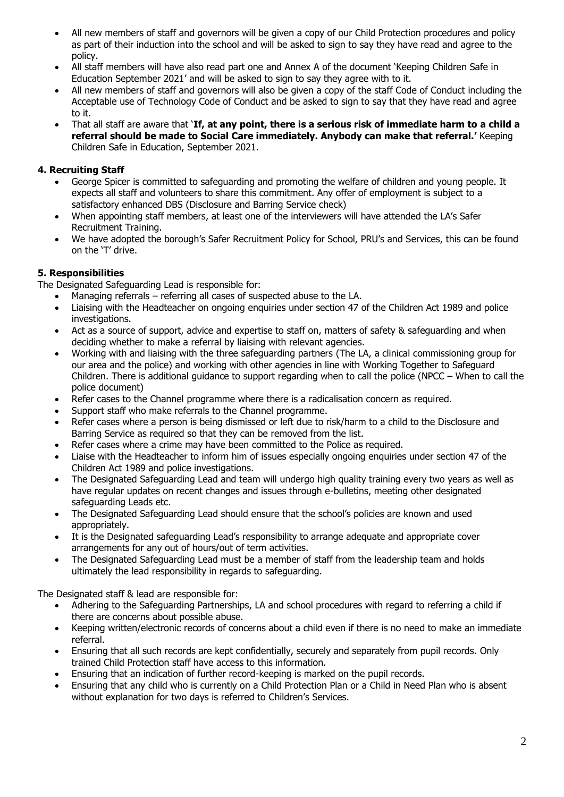- All new members of staff and governors will be given a copy of our Child Protection procedures and policy as part of their induction into the school and will be asked to sign to say they have read and agree to the policy.
- All staff members will have also read part one and Annex A of the document 'Keeping Children Safe in Education September 2021' and will be asked to sign to say they agree with to it.
- All new members of staff and governors will also be given a copy of the staff Code of Conduct including the Acceptable use of Technology Code of Conduct and be asked to sign to say that they have read and agree to it.
- That all staff are aware that '**If, at any point, there is a serious risk of immediate harm to a child a referral should be made to Social Care immediately. Anybody can make that referral.'** Keeping Children Safe in Education, September 2021.

## **4. Recruiting Staff**

- George Spicer is committed to safeguarding and promoting the welfare of children and young people. It expects all staff and volunteers to share this commitment. Any offer of employment is subject to a satisfactory enhanced DBS (Disclosure and Barring Service check)
- When appointing staff members, at least one of the interviewers will have attended the LA's Safer Recruitment Training.
- We have adopted the borough's Safer Recruitment Policy for School, PRU's and Services, this can be found on the 'T' drive.

# **5. Responsibilities**

The Designated Safeguarding Lead is responsible for:

- Managing referrals referring all cases of suspected abuse to the LA.
- Liaising with the Headteacher on ongoing enquiries under section 47 of the Children Act 1989 and police investigations.
- Act as a source of support, advice and expertise to staff on, matters of safety & safequarding and when deciding whether to make a referral by liaising with relevant agencies.
- Working with and liaising with the three safeguarding partners (The LA, a clinical commissioning group for our area and the police) and working with other agencies in line with Working Together to Safeguard Children. There is additional guidance to support regarding when to call the police (NPCC – When to call the police document)
- Refer cases to the Channel programme where there is a radicalisation concern as required.
- Support staff who make referrals to the Channel programme.
- Refer cases where a person is being dismissed or left due to risk/harm to a child to the Disclosure and Barring Service as required so that they can be removed from the list.
- Refer cases where a crime may have been committed to the Police as required.
- Liaise with the Headteacher to inform him of issues especially ongoing enquiries under section 47 of the Children Act 1989 and police investigations.
- The Designated Safeguarding Lead and team will undergo high quality training every two years as well as have regular updates on recent changes and issues through e-bulletins, meeting other designated safeguarding Leads etc.
- The Designated Safeguarding Lead should ensure that the school's policies are known and used appropriately.
- It is the Designated safeguarding Lead's responsibility to arrange adequate and appropriate cover arrangements for any out of hours/out of term activities.
- The Designated Safeguarding Lead must be a member of staff from the leadership team and holds ultimately the lead responsibility in regards to safeguarding.

The Designated staff & lead are responsible for:

- Adhering to the Safeguarding Partnerships, LA and school procedures with regard to referring a child if there are concerns about possible abuse.
- Keeping written/electronic records of concerns about a child even if there is no need to make an immediate referral.
- Ensuring that all such records are kept confidentially, securely and separately from pupil records. Only trained Child Protection staff have access to this information.
- Ensuring that an indication of further record-keeping is marked on the pupil records.
- Ensuring that any child who is currently on a Child Protection Plan or a Child in Need Plan who is absent without explanation for two days is referred to Children's Services.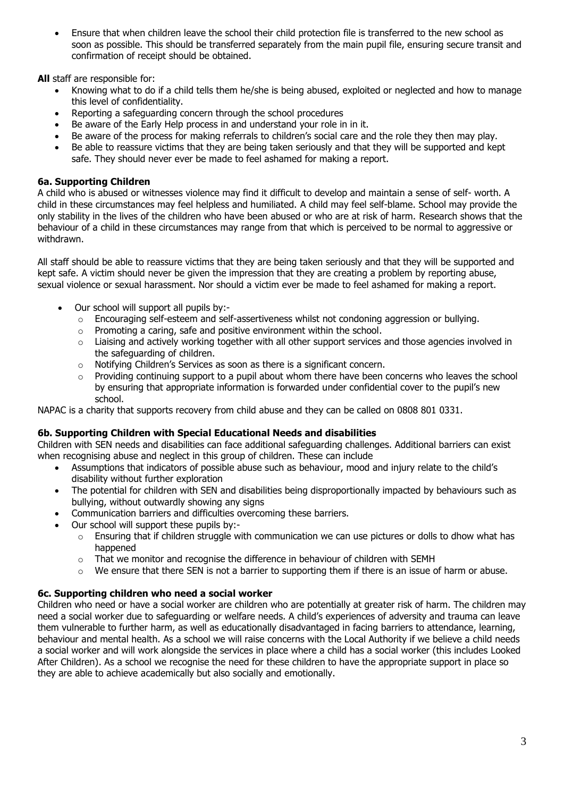Ensure that when children leave the school their child protection file is transferred to the new school as soon as possible. This should be transferred separately from the main pupil file, ensuring secure transit and confirmation of receipt should be obtained.

**All** staff are responsible for:

- Knowing what to do if a child tells them he/she is being abused, exploited or neglected and how to manage this level of confidentiality.
- Reporting a safeguarding concern through the school procedures
- Be aware of the Early Help process in and understand your role in in it.
- Be aware of the process for making referrals to children's social care and the role they then may play.
- Be able to reassure victims that they are being taken seriously and that they will be supported and kept safe. They should never ever be made to feel ashamed for making a report.

# **6a. Supporting Children**

A child who is abused or witnesses violence may find it difficult to develop and maintain a sense of self- worth. A child in these circumstances may feel helpless and humiliated. A child may feel self-blame. School may provide the only stability in the lives of the children who have been abused or who are at risk of harm. Research shows that the behaviour of a child in these circumstances may range from that which is perceived to be normal to aggressive or withdrawn.

All staff should be able to reassure victims that they are being taken seriously and that they will be supported and kept safe. A victim should never be given the impression that they are creating a problem by reporting abuse, sexual violence or sexual harassment. Nor should a victim ever be made to feel ashamed for making a report.

- Our school will support all pupils by:-
	- $\circ$  Encouraging self-esteem and self-assertiveness whilst not condoning aggression or bullying.
	- o Promoting a caring, safe and positive environment within the school.
	- o Liaising and actively working together with all other support services and those agencies involved in the safeguarding of children.
	- o Notifying Children's Services as soon as there is a significant concern.
	- $\circ$  Providing continuing support to a pupil about whom there have been concerns who leaves the school by ensuring that appropriate information is forwarded under confidential cover to the pupil's new school.

NAPAC is a charity that supports recovery from child abuse and they can be called on 0808 801 0331.

### **6b. Supporting Children with Special Educational Needs and disabilities**

Children with SEN needs and disabilities can face additional safeguarding challenges. Additional barriers can exist when recognising abuse and neglect in this group of children. These can include

- Assumptions that indicators of possible abuse such as behaviour, mood and injury relate to the child's disability without further exploration
- The potential for children with SEN and disabilities being disproportionally impacted by behaviours such as bullying, without outwardly showing any signs
- Communication barriers and difficulties overcoming these barriers.
- Our school will support these pupils by:-
	- $\circ$  Ensuring that if children struggle with communication we can use pictures or dolls to dhow what has happened
	- $\circ$  That we monitor and recognise the difference in behaviour of children with SEMH
	- We ensure that there SEN is not a barrier to supporting them if there is an issue of harm or abuse.

### **6c. Supporting children who need a social worker**

Children who need or have a social worker are children who are potentially at greater risk of harm. The children may need a social worker due to safeguarding or welfare needs. A child's experiences of adversity and trauma can leave them vulnerable to further harm, as well as educationally disadvantaged in facing barriers to attendance, learning, behaviour and mental health. As a school we will raise concerns with the Local Authority if we believe a child needs a social worker and will work alongside the services in place where a child has a social worker (this includes Looked After Children). As a school we recognise the need for these children to have the appropriate support in place so they are able to achieve academically but also socially and emotionally.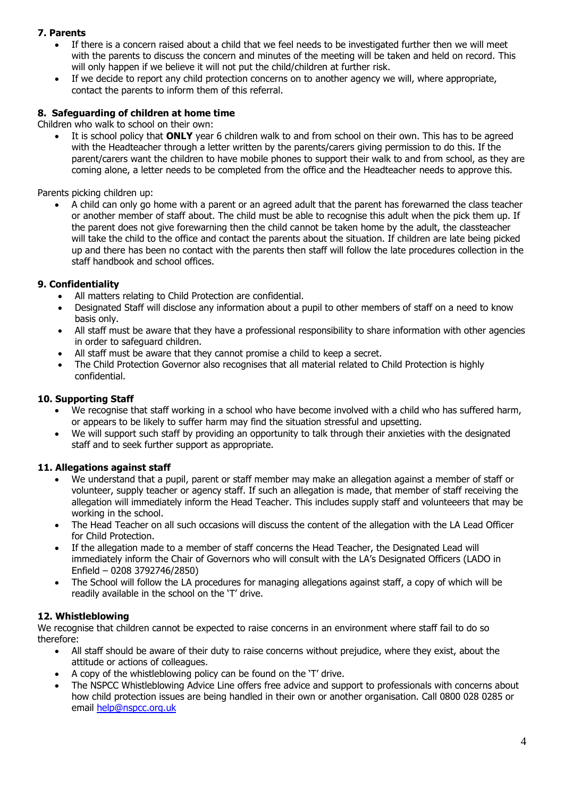# **7. Parents**

- If there is a concern raised about a child that we feel needs to be investigated further then we will meet with the parents to discuss the concern and minutes of the meeting will be taken and held on record. This will only happen if we believe it will not put the child/children at further risk.
- If we decide to report any child protection concerns on to another agency we will, where appropriate, contact the parents to inform them of this referral.

# **8. Safeguarding of children at home time**

Children who walk to school on their own:

 It is school policy that **ONLY** year 6 children walk to and from school on their own. This has to be agreed with the Headteacher through a letter written by the parents/carers giving permission to do this. If the parent/carers want the children to have mobile phones to support their walk to and from school, as they are coming alone, a letter needs to be completed from the office and the Headteacher needs to approve this.

Parents picking children up:

 A child can only go home with a parent or an agreed adult that the parent has forewarned the class teacher or another member of staff about. The child must be able to recognise this adult when the pick them up. If the parent does not give forewarning then the child cannot be taken home by the adult, the classteacher will take the child to the office and contact the parents about the situation. If children are late being picked up and there has been no contact with the parents then staff will follow the late procedures collection in the staff handbook and school offices.

# **9. Confidentiality**

- All matters relating to Child Protection are confidential.
- Designated Staff will disclose any information about a pupil to other members of staff on a need to know basis only.
- All staff must be aware that they have a professional responsibility to share information with other agencies in order to safeguard children.
- All staff must be aware that they cannot promise a child to keep a secret.
- The Child Protection Governor also recognises that all material related to Child Protection is highly confidential.

# **10. Supporting Staff**

- We recognise that staff working in a school who have become involved with a child who has suffered harm, or appears to be likely to suffer harm may find the situation stressful and upsetting.
- We will support such staff by providing an opportunity to talk through their anxieties with the designated staff and to seek further support as appropriate.

# **11. Allegations against staff**

- We understand that a pupil, parent or staff member may make an allegation against a member of staff or volunteer, supply teacher or agency staff. If such an allegation is made, that member of staff receiving the allegation will immediately inform the Head Teacher. This includes supply staff and volunteeers that may be working in the school.
- The Head Teacher on all such occasions will discuss the content of the allegation with the LA Lead Officer for Child Protection.
- If the allegation made to a member of staff concerns the Head Teacher, the Designated Lead will immediately inform the Chair of Governors who will consult with the LA's Designated Officers (LADO in Enfield – 0208 3792746/2850)
- The School will follow the LA procedures for managing allegations against staff, a copy of which will be readily available in the school on the 'T' drive.

# **12. Whistleblowing**

We recognise that children cannot be expected to raise concerns in an environment where staff fail to do so therefore:

- All staff should be aware of their duty to raise concerns without prejudice, where they exist, about the attitude or actions of colleagues.
- A copy of the whistleblowing policy can be found on the 'T' drive.
- The NSPCC Whistleblowing Advice Line offers free advice and support to professionals with concerns about how child protection issues are being handled in their own or another organisation. Call 0800 028 0285 or email [help@nspcc.org.uk](mailto:help@nspcc.org.uk)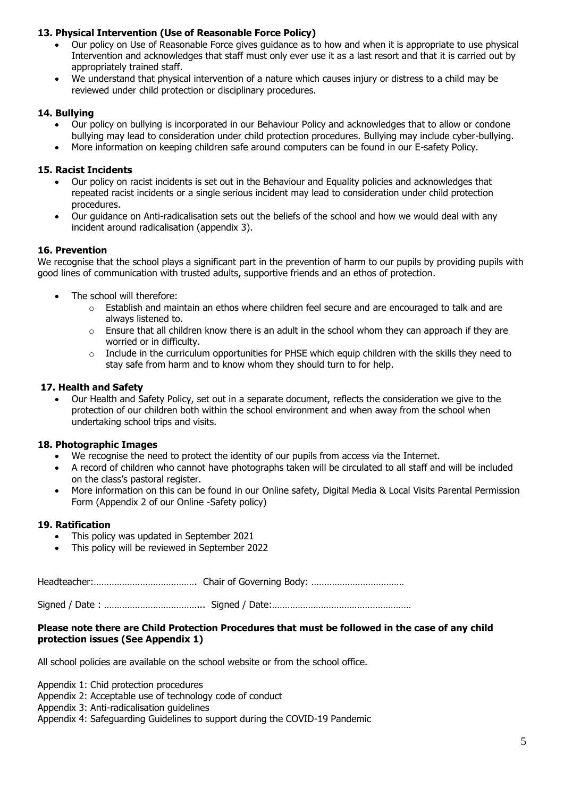## **13. Physical Intervention (Use of Reasonable Force Policy)**

- Our policy on Use of Reasonable Force gives guidance as to how and when it is appropriate to use physical Intervention and acknowledges that staff must only ever use it as a last resort and that it is carried out by appropriately trained staff.
- We understand that physical intervention of a nature which causes injury or distress to a child may be reviewed under child protection or disciplinary procedures.

## **14. Bullying**

- Our policy on bullying is incorporated in our Behaviour Policy and acknowledges that to allow or condone bullying may lead to consideration under child protection procedures. Bullying may include cyber-bullying.
- More information on keeping children safe around computers can be found in our E-safety Policy.

### **15. Racist Incidents**

- Our policy on racist incidents is set out in the Behaviour and Equality policies and acknowledges that repeated racist incidents or a single serious incident may lead to consideration under child protection procedures.
- Our guidance on Anti-radicalisation sets out the beliefs of the school and how we would deal with any incident around radicalisation (appendix 3).

### **16. Prevention**

We recognise that the school plays a significant part in the prevention of harm to our pupils by providing pupils with good lines of communication with trusted adults, supportive friends and an ethos of protection.

- The school will therefore:
	- $\circ$  Establish and maintain an ethos where children feel secure and are encouraged to talk and are always listened to.
	- $\circ$  Ensure that all children know there is an adult in the school whom they can approach if they are worried or in difficulty.
	- $\circ$  Include in the curriculum opportunities for PHSE which equip children with the skills they need to stay safe from harm and to know whom they should turn to for help.

### **17. Health and Safety**

 Our Health and Safety Policy, set out in a separate document, reflects the consideration we give to the protection of our children both within the school environment and when away from the school when undertaking school trips and visits.

### **18. Photographic Images**

- We recognise the need to protect the identity of our pupils from access via the Internet.
- A record of children who cannot have photographs taken will be circulated to all staff and will be included on the class's pastoral register.
- More information on this can be found in our Online safety, Digital Media & Local Visits Parental Permission Form (Appendix 2 of our Online -Safety policy)

### **19. Ratification**

- This policy was updated in September 2021
- This policy will be reviewed in September 2022

Headteacher:…………………………………. Chair of Governing Body: ………………………………

Signed / Date : ………………………………... Signed / Date:………………………………………………

#### **Please note there are Child Protection Procedures that must be followed in the case of any child protection issues (See Appendix 1)**

All school policies are available on the school website or from the school office.

Appendix 1: Chid protection procedures

Appendix 2: Acceptable use of technology code of conduct

Appendix 3: Anti-radicalisation guidelines

Appendix 4: Safeguarding Guidelines to support during the COVID-19 Pandemic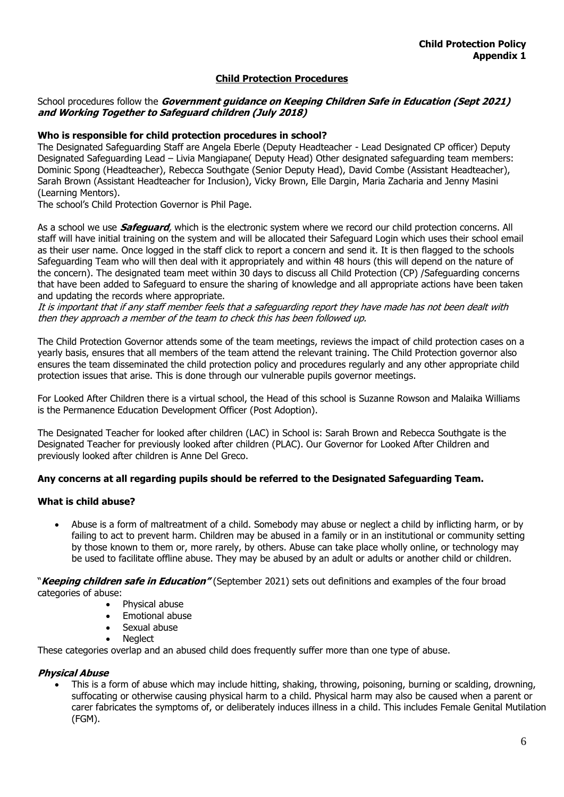#### **Child Protection Procedures**

#### School procedures follow the **Government guidance on Keeping Children Safe in Education (Sept 2021) and Working Together to Safeguard children (July 2018)**

#### **Who is responsible for child protection procedures in school?**

The Designated Safeguarding Staff are Angela Eberle (Deputy Headteacher - Lead Designated CP officer) Deputy Designated Safeguarding Lead – Livia Mangiapane( Deputy Head) Other designated safeguarding team members: Dominic Spong (Headteacher), Rebecca Southgate (Senior Deputy Head), David Combe (Assistant Headteacher), Sarah Brown (Assistant Headteacher for Inclusion), Vicky Brown, Elle Dargin, Maria Zacharia and Jenny Masini (Learning Mentors).

The school's Child Protection Governor is Phil Page.

As a school we use **Safeguard**, which is the electronic system where we record our child protection concerns. All staff will have initial training on the system and will be allocated their Safeguard Login which uses their school email as their user name. Once logged in the staff click to report a concern and send it. It is then flagged to the schools Safeguarding Team who will then deal with it appropriately and within 48 hours (this will depend on the nature of the concern). The designated team meet within 30 days to discuss all Child Protection (CP) /Safeguarding concerns that have been added to Safeguard to ensure the sharing of knowledge and all appropriate actions have been taken and updating the records where appropriate.

It is important that if any staff member feels that a safeguarding report they have made has not been dealt with then they approach a member of the team to check this has been followed up.

The Child Protection Governor attends some of the team meetings, reviews the impact of child protection cases on a yearly basis, ensures that all members of the team attend the relevant training. The Child Protection governor also ensures the team disseminated the child protection policy and procedures regularly and any other appropriate child protection issues that arise. This is done through our vulnerable pupils governor meetings.

For Looked After Children there is a virtual school, the Head of this school is Suzanne Rowson and Malaika Williams is the Permanence Education Development Officer (Post Adoption).

The Designated Teacher for looked after children (LAC) in School is: Sarah Brown and Rebecca Southgate is the Designated Teacher for previously looked after children (PLAC). Our Governor for Looked After Children and previously looked after children is Anne Del Greco.

#### **Any concerns at all regarding pupils should be referred to the Designated Safeguarding Team.**

#### **What is child abuse?**

 Abuse is a form of maltreatment of a child. Somebody may abuse or neglect a child by inflicting harm, or by failing to act to prevent harm. Children may be abused in a family or in an institutional or community setting by those known to them or, more rarely, by others. Abuse can take place wholly online, or technology may be used to facilitate offline abuse. They may be abused by an adult or adults or another child or children.

"**Keeping children safe in Education"** (September 2021) sets out definitions and examples of the four broad categories of abuse:

- Physical abuse
- Emotional abuse
- Sexual abuse
- **Neglect**

These categories overlap and an abused child does frequently suffer more than one type of abuse.

#### **Physical Abuse**

 This is a form of abuse which may include hitting, shaking, throwing, poisoning, burning or scalding, drowning, suffocating or otherwise causing physical harm to a child. Physical harm may also be caused when a parent or carer fabricates the symptoms of, or deliberately induces illness in a child. This includes Female Genital Mutilation (FGM).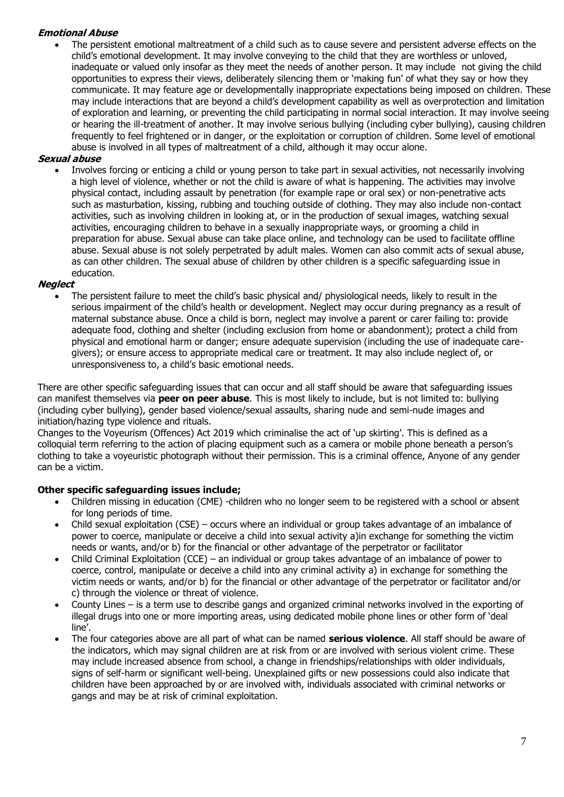## **Emotional Abuse**

 The persistent emotional maltreatment of a child such as to cause severe and persistent adverse effects on the child's emotional development. It may involve conveying to the child that they are worthless or unloved, inadequate or valued only insofar as they meet the needs of another person. It may include not giving the child opportunities to express their views, deliberately silencing them or 'making fun' of what they say or how they communicate. It may feature age or developmentally inappropriate expectations being imposed on children. These may include interactions that are beyond a child's development capability as well as overprotection and limitation of exploration and learning, or preventing the child participating in normal social interaction. It may involve seeing or hearing the ill-treatment of another. It may involve serious bullying (including cyber bullying), causing children frequently to feel frightened or in danger, or the exploitation or corruption of children. Some level of emotional abuse is involved in all types of maltreatment of a child, although it may occur alone.

### **Sexual abuse**

 Involves forcing or enticing a child or young person to take part in sexual activities, not necessarily involving a high level of violence, whether or not the child is aware of what is happening. The activities may involve physical contact, including assault by penetration (for example rape or oral sex) or non-penetrative acts such as masturbation, kissing, rubbing and touching outside of clothing. They may also include non-contact activities, such as involving children in looking at, or in the production of sexual images, watching sexual activities, encouraging children to behave in a sexually inappropriate ways, or grooming a child in preparation for abuse. Sexual abuse can take place online, and technology can be used to facilitate offline abuse. Sexual abuse is not solely perpetrated by adult males. Women can also commit acts of sexual abuse, as can other children. The sexual abuse of children by other children is a specific safeguarding issue in education.

#### **Neglect**

 The persistent failure to meet the child's basic physical and/ physiological needs, likely to result in the serious impairment of the child's health or development. Neglect may occur during pregnancy as a result of maternal substance abuse. Once a child is born, neglect may involve a parent or carer failing to: provide adequate food, clothing and shelter (including exclusion from home or abandonment); protect a child from physical and emotional harm or danger; ensure adequate supervision (including the use of inadequate caregivers); or ensure access to appropriate medical care or treatment. It may also include neglect of, or unresponsiveness to, a child's basic emotional needs.

There are other specific safeguarding issues that can occur and all staff should be aware that safeguarding issues can manifest themselves via **peer on peer abuse**. This is most likely to include, but is not limited to: bullying (including cyber bullying), gender based violence/sexual assaults, sharing nude and semi-nude images and initiation/hazing type violence and rituals.

Changes to the Voyeurism (Offences) Act 2019 which criminalise the act of 'up skirting'. This is defined as a colloquial term referring to the action of placing equipment such as a camera or mobile phone beneath a person's clothing to take a voyeuristic photograph without their permission. This is a criminal offence, Anyone of any gender can be a victim.

### **Other specific safeguarding issues include;**

- Children missing in education (CME) -children who no longer seem to be registered with a school or absent for long periods of time.
- Child sexual exploitation (CSE) occurs where an individual or group takes advantage of an imbalance of power to coerce, manipulate or deceive a child into sexual activity a)in exchange for something the victim needs or wants, and/or b) for the financial or other advantage of the perpetrator or facilitator
- Child Criminal Exploitation (CCE) an individual or group takes advantage of an imbalance of power to coerce, control, manipulate or deceive a child into any criminal activity a) in exchange for something the victim needs or wants, and/or b) for the financial or other advantage of the perpetrator or facilitator and/or c) through the violence or threat of violence.
- County Lines is a term use to describe gangs and organized criminal networks involved in the exporting of illegal drugs into one or more importing areas, using dedicated mobile phone lines or other form of 'deal line'.
- The four categories above are all part of what can be named **serious violence**. All staff should be aware of the indicators, which may signal children are at risk from or are involved with serious violent crime. These may include increased absence from school, a change in friendships/relationships with older individuals, signs of self-harm or significant well-being. Unexplained gifts or new possessions could also indicate that children have been approached by or are involved with, individuals associated with criminal networks or gangs and may be at risk of criminal exploitation.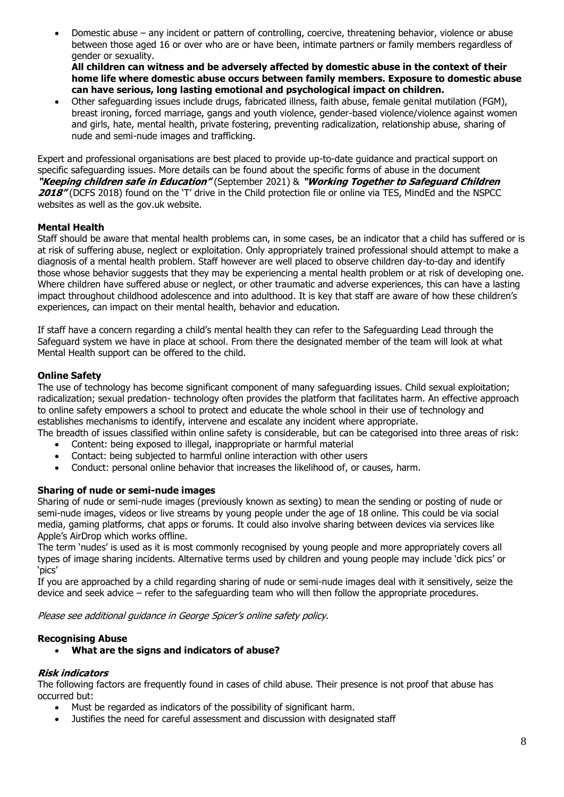Domestic abuse – any incident or pattern of controlling, coercive, threatening behavior, violence or abuse between those aged 16 or over who are or have been, intimate partners or family members regardless of gender or sexuality.

**All children can witness and be adversely affected by domestic abuse in the context of their home life where domestic abuse occurs between family members. Exposure to domestic abuse can have serious, long lasting emotional and psychological impact on children.**

 Other safeguarding issues include drugs, fabricated illness, faith abuse, female genital mutilation (FGM), breast ironing, forced marriage, gangs and youth violence, gender-based violence/violence against women and girls, hate, mental health, private fostering, preventing radicalization, relationship abuse, sharing of nude and semi-nude images and trafficking.

Expert and professional organisations are best placed to provide up-to-date guidance and practical support on specific safeguarding issues. More details can be found about the specific forms of abuse in the document **"Keeping children safe in Education"** (September 2021) & **"Working Together to Safeguard Children 2018"** (DCFS 2018) found on the 'T' drive in the Child protection file or online via TES, MindEd and the NSPCC websites as well as the gov.uk website.

### **Mental Health**

Staff should be aware that mental health problems can, in some cases, be an indicator that a child has suffered or is at risk of suffering abuse, neglect or exploitation. Only appropriately trained professional should attempt to make a diagnosis of a mental health problem. Staff however are well placed to observe children day-to-day and identify those whose behavior suggests that they may be experiencing a mental health problem or at risk of developing one. Where children have suffered abuse or neglect, or other traumatic and adverse experiences, this can have a lasting impact throughout childhood adolescence and into adulthood. It is key that staff are aware of how these children's experiences, can impact on their mental health, behavior and education.

If staff have a concern regarding a child's mental health they can refer to the Safeguarding Lead through the Safeguard system we have in place at school. From there the designated member of the team will look at what Mental Health support can be offered to the child.

# **Online Safety**

The use of technology has become significant component of many safeguarding issues. Child sexual exploitation; radicalization; sexual predation- technology often provides the platform that facilitates harm. An effective approach to online safety empowers a school to protect and educate the whole school in their use of technology and establishes mechanisms to identify, intervene and escalate any incident where appropriate.

- The breadth of issues classified within online safety is considerable, but can be categorised into three areas of risk: Content: being exposed to illegal, inappropriate or harmful material
	- Contact: being subjected to harmful online interaction with other users
	- Conduct: personal online behavior that increases the likelihood of, or causes, harm.

### **Sharing of nude or semi-nude images**

Sharing of nude or semi-nude images (previously known as sexting) to mean the sending or posting of nude or semi-nude images, videos or live streams by young people under the age of 18 online. This could be via social media, gaming platforms, chat apps or forums. It could also involve sharing between devices via services like Apple's AirDrop which works offline.

The term 'nudes' is used as it is most commonly recognised by young people and more appropriately covers all types of image sharing incidents. Alternative terms used by children and young people may include 'dick pics' or 'pics'

If you are approached by a child regarding sharing of nude or semi-nude images deal with it sensitively, seize the device and seek advice – refer to the safeguarding team who will then follow the appropriate procedures.

Please see additional guidance in George Spicer's online safety policy.

### **Recognising Abuse**

### **What are the signs and indicators of abuse?**

### **Risk indicators**

The following factors are frequently found in cases of child abuse. Their presence is not proof that abuse has occurred but:

- Must be regarded as indicators of the possibility of significant harm.
- Justifies the need for careful assessment and discussion with designated staff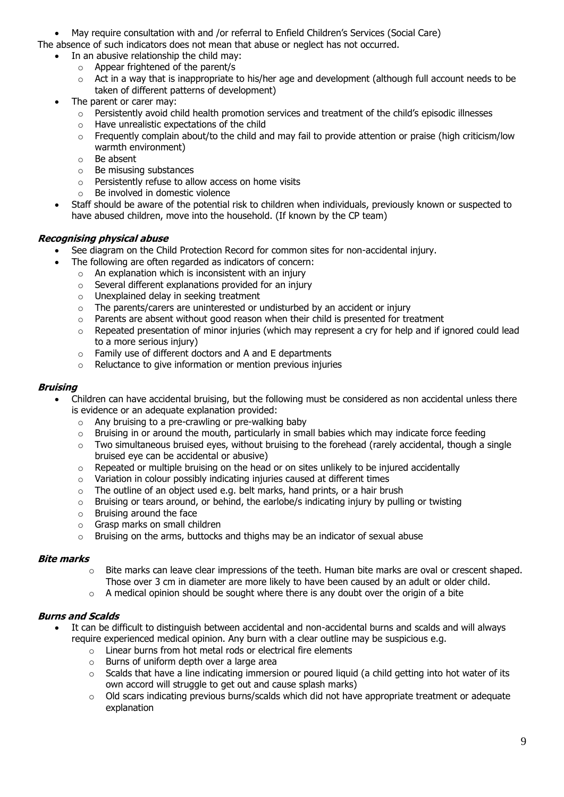#### May require consultation with and /or referral to Enfield Children's Services (Social Care) The absence of such indicators does not mean that abuse or neglect has not occurred.

- In an abusive relationship the child may:
	- o Appear frightened of the parent/s
	- $\circ$  Act in a way that is inappropriate to his/her age and development (although full account needs to be taken of different patterns of development)
- The parent or carer may:
	- $\circ$  Persistently avoid child health promotion services and treatment of the child's episodic illnesses
	- o Have unrealistic expectations of the child
	- $\circ$  Frequently complain about/to the child and may fail to provide attention or praise (high criticism/low warmth environment)
	- o Be absent
	- o Be misusing substances
	- o Persistently refuse to allow access on home visits
	- o Be involved in domestic violence
- Staff should be aware of the potential risk to children when individuals, previously known or suspected to have abused children, move into the household. (If known by the CP team)

#### **Recognising physical abuse**

- See diagram on the Child Protection Record for common sites for non-accidental injury.
	- The following are often regarded as indicators of concern:
		- $\circ$  An explanation which is inconsistent with an injury
		- o Several different explanations provided for an injury
		- o Unexplained delay in seeking treatment
		- o The parents/carers are uninterested or undisturbed by an accident or injury
		- $\circ$  Parents are absent without good reason when their child is presented for treatment
		- $\circ$  Repeated presentation of minor injuries (which may represent a cry for help and if ignored could lead to a more serious injury)
		- o Family use of different doctors and A and E departments
		- o Reluctance to give information or mention previous injuries

#### **Bruising**

- Children can have accidental bruising, but the following must be considered as non accidental unless there is evidence or an adequate explanation provided:
	- $\circ$  Any bruising to a pre-crawling or pre-walking baby
	- $\circ$  Bruising in or around the mouth, particularly in small babies which may indicate force feeding
	- $\circ$  Two simultaneous bruised eyes, without bruising to the forehead (rarely accidental, though a single bruised eye can be accidental or abusive)
	- o Repeated or multiple bruising on the head or on sites unlikely to be injured accidentally
	- o Variation in colour possibly indicating injuries caused at different times
	- o The outline of an object used e.g. belt marks, hand prints, or a hair brush
	- $\circ$  Bruising or tears around, or behind, the earlobe/s indicating injury by pulling or twisting
	- o Bruising around the face
	- o Grasp marks on small children
	- $\circ$  Bruising on the arms, buttocks and thighs may be an indicator of sexual abuse

### **Bite marks**

- $\circ$  Bite marks can leave clear impressions of the teeth. Human bite marks are oval or crescent shaped. Those over 3 cm in diameter are more likely to have been caused by an adult or older child.
- $\circ$  A medical opinion should be sought where there is any doubt over the origin of a bite

### **Burns and Scalds**

- It can be difficult to distinguish between accidental and non-accidental burns and scalds and will always require experienced medical opinion. Any burn with a clear outline may be suspicious e.g.
	- o Linear burns from hot metal rods or electrical fire elements
	- $\circ$  Burns of uniform depth over a large area
	- $\circ$  Scalds that have a line indicating immersion or poured liquid (a child getting into hot water of its own accord will struggle to get out and cause splash marks)
	- $\circ$  Old scars indicating previous burns/scalds which did not have appropriate treatment or adequate explanation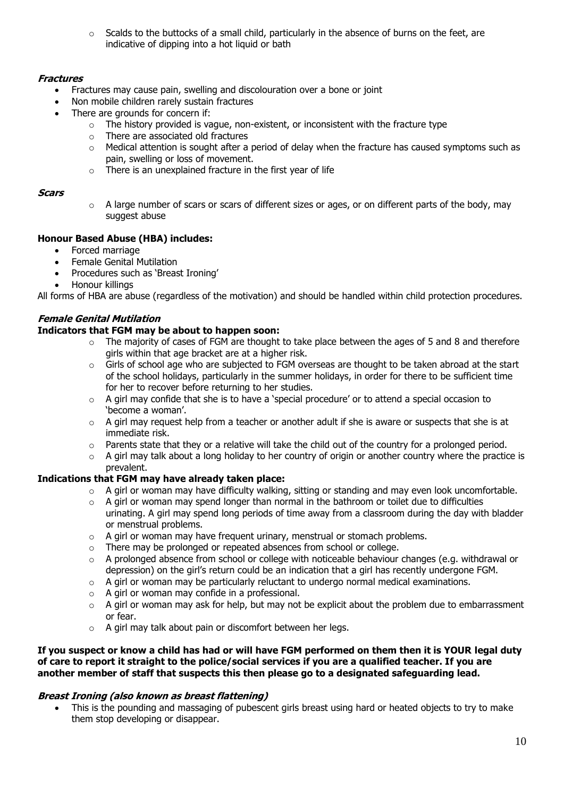$\circ$  Scalds to the buttocks of a small child, particularly in the absence of burns on the feet, are indicative of dipping into a hot liquid or bath

## **Fractures**

- Fractures may cause pain, swelling and discolouration over a bone or joint
- Non mobile children rarely sustain fractures
- There are grounds for concern if:
	- $\circ$  The history provided is vague, non-existent, or inconsistent with the fracture type
	- o There are associated old fractures
	- $\circ$  Medical attention is sought after a period of delay when the fracture has caused symptoms such as pain, swelling or loss of movement.
	- o There is an unexplained fracture in the first year of life

#### **Scars**

 $\circ$  A large number of scars or scars of different sizes or ages, or on different parts of the body, may suggest abuse

### **Honour Based Abuse (HBA) includes:**

- Forced marriage
- Female Genital Mutilation
- Procedures such as 'Breast Ironing'
- **•** Honour killings

All forms of HBA are abuse (regardless of the motivation) and should be handled within child protection procedures.

## **Female Genital Mutilation**

### **Indicators that FGM may be about to happen soon:**

- o The majority of cases of FGM are thought to take place between the ages of 5 and 8 and therefore girls within that age bracket are at a higher risk.
- o Girls of school age who are subjected to FGM overseas are thought to be taken abroad at the start of the school holidays, particularly in the summer holidays, in order for there to be sufficient time for her to recover before returning to her studies.
- o A girl may confide that she is to have a 'special procedure' or to attend a special occasion to 'become a woman'.
- $\circ$  A girl may request help from a teacher or another adult if she is aware or suspects that she is at immediate risk.
- $\circ$  Parents state that they or a relative will take the child out of the country for a prolonged period.
- o A girl may talk about a long holiday to her country of origin or another country where the practice is prevalent.

### **Indications that FGM may have already taken place:**

- o A girl or woman may have difficulty walking, sitting or standing and may even look uncomfortable.
- o A girl or woman may spend longer than normal in the bathroom or toilet due to difficulties urinating. A girl may spend long periods of time away from a classroom during the day with bladder or menstrual problems.
- o A girl or woman may have frequent urinary, menstrual or stomach problems.
- o There may be prolonged or repeated absences from school or college.
- $\circ$  A prolonged absence from school or college with noticeable behaviour changes (e.g. withdrawal or depression) on the girl's return could be an indication that a girl has recently undergone FGM.
- $\circ$  A girl or woman may be particularly reluctant to undergo normal medical examinations.
- o A girl or woman may confide in a professional.
- o A girl or woman may ask for help, but may not be explicit about the problem due to embarrassment or fear.
- o A girl may talk about pain or discomfort between her legs.

#### **If you suspect or know a child has had or will have FGM performed on them then it is YOUR legal duty of care to report it straight to the police/social services if you are a qualified teacher. If you are another member of staff that suspects this then please go to a designated safeguarding lead.**

### **Breast Ironing (also known as breast flattening)**

 This is the pounding and massaging of pubescent girls breast using hard or heated objects to try to make them stop developing or disappear.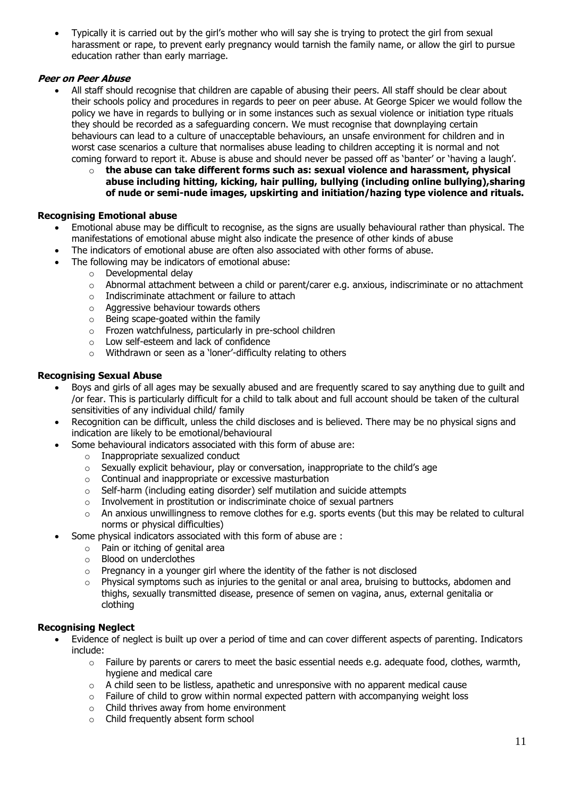Typically it is carried out by the girl's mother who will say she is trying to protect the girl from sexual harassment or rape, to prevent early pregnancy would tarnish the family name, or allow the girl to pursue education rather than early marriage.

## **Peer on Peer Abuse**

- All staff should recognise that children are capable of abusing their peers. All staff should be clear about their schools policy and procedures in regards to peer on peer abuse. At George Spicer we would follow the policy we have in regards to bullying or in some instances such as sexual violence or initiation type rituals they should be recorded as a safeguarding concern. We must recognise that downplaying certain behaviours can lead to a culture of unacceptable behaviours, an unsafe environment for children and in worst case scenarios a culture that normalises abuse leading to children accepting it is normal and not coming forward to report it. Abuse is abuse and should never be passed off as 'banter' or 'having a laugh'.
	- o **the abuse can take different forms such as: sexual violence and harassment, physical abuse including hitting, kicking, hair pulling, bullying (including online bullying),sharing of nude or semi-nude images, upskirting and initiation/hazing type violence and rituals.**

### **Recognising Emotional abuse**

- Emotional abuse may be difficult to recognise, as the signs are usually behavioural rather than physical. The manifestations of emotional abuse might also indicate the presence of other kinds of abuse
- The indicators of emotional abuse are often also associated with other forms of abuse.
- The following may be indicators of emotional abuse:
	- o Developmental delay
	- o Abnormal attachment between a child or parent/carer e.g. anxious, indiscriminate or no attachment
	- $\circ$  Indiscriminate attachment or failure to attach
	- o Aggressive behaviour towards others
	- $\circ$  Being scape-goated within the family
	- o Frozen watchfulness, particularly in pre-school children
	- o Low self-esteem and lack of confidence
	- o Withdrawn or seen as a 'loner'-difficulty relating to others

### **Recognising Sexual Abuse**

- Boys and girls of all ages may be sexually abused and are frequently scared to say anything due to guilt and /or fear. This is particularly difficult for a child to talk about and full account should be taken of the cultural sensitivities of any individual child/ family
- Recognition can be difficult, unless the child discloses and is believed. There may be no physical signs and indication are likely to be emotional/behavioural
- Some behavioural indicators associated with this form of abuse are:
	- o Inappropriate sexualized conduct
	- o Sexually explicit behaviour, play or conversation, inappropriate to the child's age
	- o Continual and inappropriate or excessive masturbation
	- o Self-harm (including eating disorder) self mutilation and suicide attempts
	- o Involvement in prostitution or indiscriminate choice of sexual partners
	- $\circ$  An anxious unwillingness to remove clothes for e.g. sports events (but this may be related to cultural norms or physical difficulties)
- Some physical indicators associated with this form of abuse are :
	- $\circ$  Pain or itching of genital area
	- o Blood on underclothes
	- $\circ$  Pregnancy in a younger girl where the identity of the father is not disclosed
	- $\circ$  Physical symptoms such as injuries to the genital or anal area, bruising to buttocks, abdomen and thighs, sexually transmitted disease, presence of semen on vagina, anus, external genitalia or clothing

### **Recognising Neglect**

- Evidence of neglect is built up over a period of time and can cover different aspects of parenting. Indicators include:
	- $\circ$  Failure by parents or carers to meet the basic essential needs e.g. adequate food, clothes, warmth, hygiene and medical care
	- $\circ$  A child seen to be listless, apathetic and unresponsive with no apparent medical cause
	- $\circ$  Failure of child to grow within normal expected pattern with accompanying weight loss
	- o Child thrives away from home environment
	- o Child frequently absent form school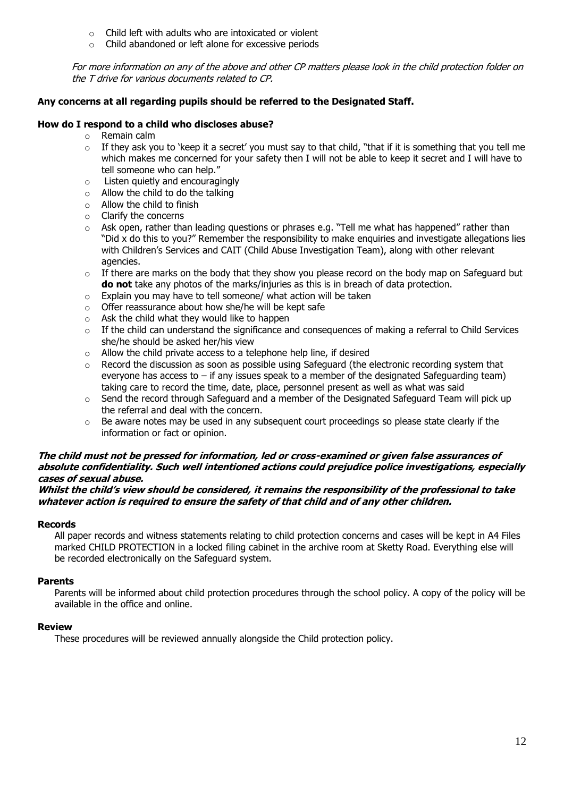- $\circ$  Child left with adults who are intoxicated or violent
- o Child abandoned or left alone for excessive periods

For more information on any of the above and other CP matters please look in the child protection folder on the T drive for various documents related to CP.

### **Any concerns at all regarding pupils should be referred to the Designated Staff.**

#### **How do I respond to a child who discloses abuse?**

- o Remain calm
- $\circ$  If they ask you to 'keep it a secret' you must say to that child, "that if it is something that you tell me which makes me concerned for your safety then I will not be able to keep it secret and I will have to tell someone who can help."
- $\circ$  Listen quietly and encouragingly
- $\circ$  Allow the child to do the talking
- $\circ$  Allow the child to finish
- o Clarify the concerns
- o Ask open, rather than leading questions or phrases e.g. "Tell me what has happened" rather than "Did x do this to you?" Remember the responsibility to make enquiries and investigate allegations lies with Children's Services and CAIT (Child Abuse Investigation Team), along with other relevant agencies.
- $\circ$  If there are marks on the body that they show you please record on the body map on Safeguard but **do not** take any photos of the marks/injuries as this is in breach of data protection.
- o Explain you may have to tell someone/ what action will be taken
- o Offer reassurance about how she/he will be kept safe
- $\circ$  Ask the child what they would like to happen
- $\circ$  If the child can understand the significance and consequences of making a referral to Child Services she/he should be asked her/his view
- $\circ$  Allow the child private access to a telephone help line, if desired
- $\circ$  Record the discussion as soon as possible using Safeguard (the electronic recording system that everyone has access to  $-$  if any issues speak to a member of the designated Safeguarding team) taking care to record the time, date, place, personnel present as well as what was said
- o Send the record through Safeguard and a member of the Designated Safeguard Team will pick up the referral and deal with the concern.
- $\circ$  Be aware notes may be used in any subsequent court proceedings so please state clearly if the information or fact or opinion.

#### **The child must not be pressed for information, led or cross-examined or given false assurances of absolute confidentiality. Such well intentioned actions could prejudice police investigations, especially cases of sexual abuse.**

#### **Whilst the child's view should be considered, it remains the responsibility of the professional to take whatever action is required to ensure the safety of that child and of any other children.**

#### **Records**

All paper records and witness statements relating to child protection concerns and cases will be kept in A4 Files marked CHILD PROTECTION in a locked filing cabinet in the archive room at Sketty Road. Everything else will be recorded electronically on the Safeguard system.

#### **Parents**

Parents will be informed about child protection procedures through the school policy. A copy of the policy will be available in the office and online.

#### **Review**

These procedures will be reviewed annually alongside the Child protection policy.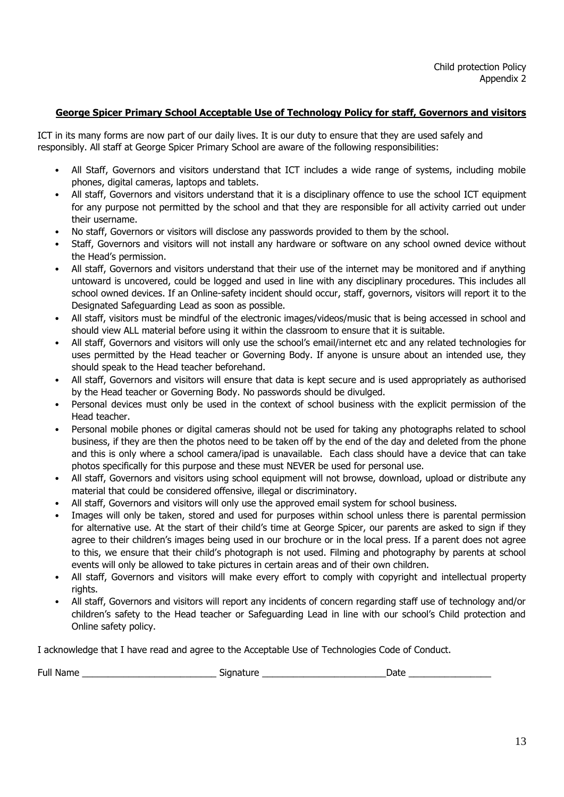#### **George Spicer Primary School Acceptable Use of Technology Policy for staff, Governors and visitors**

ICT in its many forms are now part of our daily lives. It is our duty to ensure that they are used safely and responsibly. All staff at George Spicer Primary School are aware of the following responsibilities:

- All Staff, Governors and visitors understand that ICT includes a wide range of systems, including mobile phones, digital cameras, laptops and tablets.
- All staff, Governors and visitors understand that it is a disciplinary offence to use the school ICT equipment for any purpose not permitted by the school and that they are responsible for all activity carried out under their username.
- No staff, Governors or visitors will disclose any passwords provided to them by the school.
- Staff, Governors and visitors will not install any hardware or software on any school owned device without the Head's permission.
- All staff, Governors and visitors understand that their use of the internet may be monitored and if anything untoward is uncovered, could be logged and used in line with any disciplinary procedures. This includes all school owned devices. If an Online-safety incident should occur, staff, governors, visitors will report it to the Designated Safeguarding Lead as soon as possible.
- All staff, visitors must be mindful of the electronic images/videos/music that is being accessed in school and should view ALL material before using it within the classroom to ensure that it is suitable.
- All staff, Governors and visitors will only use the school's email/internet etc and any related technologies for uses permitted by the Head teacher or Governing Body. If anyone is unsure about an intended use, they should speak to the Head teacher beforehand.
- All staff, Governors and visitors will ensure that data is kept secure and is used appropriately as authorised by the Head teacher or Governing Body. No passwords should be divulged.
- Personal devices must only be used in the context of school business with the explicit permission of the Head teacher.
- Personal mobile phones or digital cameras should not be used for taking any photographs related to school business, if they are then the photos need to be taken off by the end of the day and deleted from the phone and this is only where a school camera/ipad is unavailable. Each class should have a device that can take photos specifically for this purpose and these must NEVER be used for personal use.
- All staff, Governors and visitors using school equipment will not browse, download, upload or distribute any material that could be considered offensive, illegal or discriminatory.
- All staff, Governors and visitors will only use the approved email system for school business.
- Images will only be taken, stored and used for purposes within school unless there is parental permission for alternative use. At the start of their child's time at George Spicer, our parents are asked to sign if they agree to their children's images being used in our brochure or in the local press. If a parent does not agree to this, we ensure that their child's photograph is not used. Filming and photography by parents at school events will only be allowed to take pictures in certain areas and of their own children.
- All staff, Governors and visitors will make every effort to comply with copyright and intellectual property rights.
- All staff, Governors and visitors will report any incidents of concern regarding staff use of technology and/or children's safety to the Head teacher or Safeguarding Lead in line with our school's Child protection and Online safety policy.

I acknowledge that I have read and agree to the Acceptable Use of Technologies Code of Conduct.

| <b>Full Name</b> | ndnatureہ۔ | 12T<br>.<br>, u |
|------------------|------------|-----------------|
|                  |            |                 |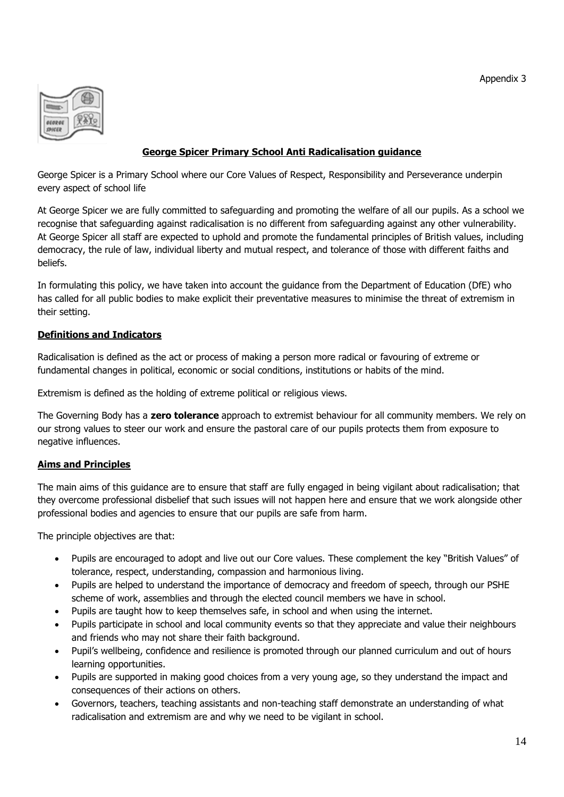

# **George Spicer Primary School Anti Radicalisation guidance**

George Spicer is a Primary School where our Core Values of Respect, Responsibility and Perseverance underpin every aspect of school life

At George Spicer we are fully committed to safeguarding and promoting the welfare of all our pupils. As a school we recognise that safeguarding against radicalisation is no different from safeguarding against any other vulnerability. At George Spicer all staff are expected to uphold and promote the fundamental principles of British values, including democracy, the rule of law, individual liberty and mutual respect, and tolerance of those with different faiths and beliefs.

In formulating this policy, we have taken into account the guidance from the Department of Education (DfE) who has called for all public bodies to make explicit their preventative measures to minimise the threat of extremism in their setting.

## **Definitions and Indicators**

Radicalisation is defined as the act or process of making a person more radical or favouring of extreme or fundamental changes in political, economic or social conditions, institutions or habits of the mind.

Extremism is defined as the holding of extreme political or religious views.

The Governing Body has a **zero tolerance** approach to extremist behaviour for all community members. We rely on our strong values to steer our work and ensure the pastoral care of our pupils protects them from exposure to negative influences.

### **Aims and Principles**

The main aims of this guidance are to ensure that staff are fully engaged in being vigilant about radicalisation; that they overcome professional disbelief that such issues will not happen here and ensure that we work alongside other professional bodies and agencies to ensure that our pupils are safe from harm.

The principle objectives are that:

- Pupils are encouraged to adopt and live out our Core values. These complement the key "British Values" of tolerance, respect, understanding, compassion and harmonious living.
- Pupils are helped to understand the importance of democracy and freedom of speech, through our PSHE scheme of work, assemblies and through the elected council members we have in school.
- Pupils are taught how to keep themselves safe, in school and when using the internet.
- Pupils participate in school and local community events so that they appreciate and value their neighbours and friends who may not share their faith background.
- Pupil's wellbeing, confidence and resilience is promoted through our planned curriculum and out of hours learning opportunities.
- Pupils are supported in making good choices from a very young age, so they understand the impact and consequences of their actions on others.
- Governors, teachers, teaching assistants and non-teaching staff demonstrate an understanding of what radicalisation and extremism are and why we need to be vigilant in school.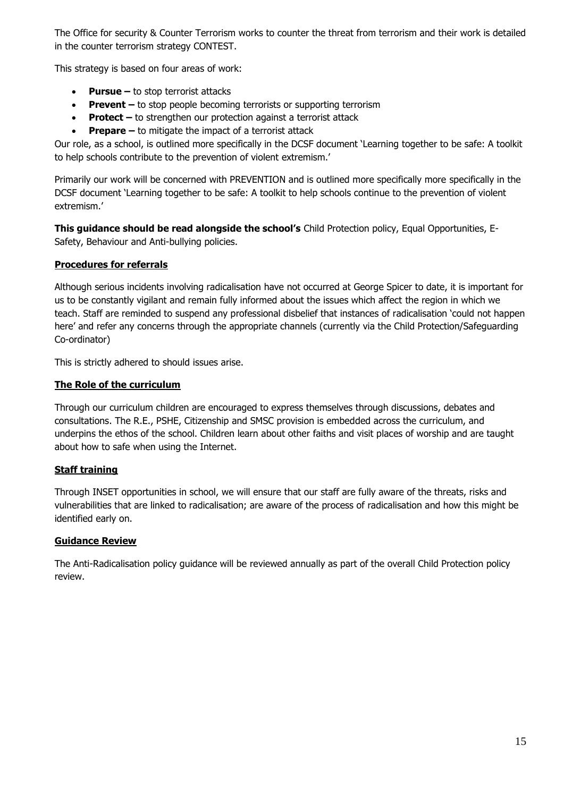The Office for security & Counter Terrorism works to counter the threat from terrorism and their work is detailed in the counter terrorism strategy CONTEST.

This strategy is based on four areas of work:

- **Pursue –** to stop terrorist attacks
- **Prevent –** to stop people becoming terrorists or supporting terrorism
- **•** Protect to strengthen our protection against a terrorist attack
- **Prepare –** to mitigate the impact of a terrorist attack

Our role, as a school, is outlined more specifically in the DCSF document 'Learning together to be safe: A toolkit to help schools contribute to the prevention of violent extremism.'

Primarily our work will be concerned with PREVENTION and is outlined more specifically more specifically in the DCSF document 'Learning together to be safe: A toolkit to help schools continue to the prevention of violent extremism.'

**This guidance should be read alongside the school's** Child Protection policy, Equal Opportunities, E-Safety, Behaviour and Anti-bullying policies.

## **Procedures for referrals**

Although serious incidents involving radicalisation have not occurred at George Spicer to date, it is important for us to be constantly vigilant and remain fully informed about the issues which affect the region in which we teach. Staff are reminded to suspend any professional disbelief that instances of radicalisation 'could not happen here' and refer any concerns through the appropriate channels (currently via the Child Protection/Safeguarding Co-ordinator)

This is strictly adhered to should issues arise.

## **The Role of the curriculum**

Through our curriculum children are encouraged to express themselves through discussions, debates and consultations. The R.E., PSHE, Citizenship and SMSC provision is embedded across the curriculum, and underpins the ethos of the school. Children learn about other faiths and visit places of worship and are taught about how to safe when using the Internet.

### **Staff training**

Through INSET opportunities in school, we will ensure that our staff are fully aware of the threats, risks and vulnerabilities that are linked to radicalisation; are aware of the process of radicalisation and how this might be identified early on.

### **Guidance Review**

The Anti-Radicalisation policy guidance will be reviewed annually as part of the overall Child Protection policy review.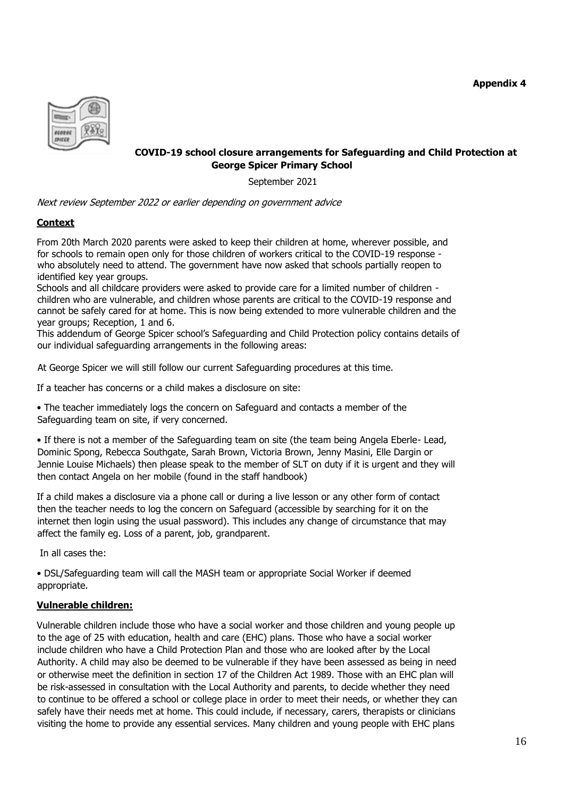**Appendix 4**



# **COVID-19 school closure arrangements for Safeguarding and Child Protection at George Spicer Primary School**

September 2021

Next review September 2022 or earlier depending on government advice

# **Context**

From 20th March 2020 parents were asked to keep their children at home, wherever possible, and for schools to remain open only for those children of workers critical to the COVID-19 response who absolutely need to attend. The government have now asked that schools partially reopen to identified key year groups.

Schools and all childcare providers were asked to provide care for a limited number of children children who are vulnerable, and children whose parents are critical to the COVID-19 response and cannot be safely cared for at home. This is now being extended to more vulnerable children and the year groups; Reception, 1 and 6.

This addendum of George Spicer school's Safeguarding and Child Protection policy contains details of our individual safeguarding arrangements in the following areas:

At George Spicer we will still follow our current Safeguarding procedures at this time.

If a teacher has concerns or a child makes a disclosure on site:

• The teacher immediately logs the concern on Safeguard and contacts a member of the Safeguarding team on site, if very concerned.

• If there is not a member of the Safeguarding team on site (the team being Angela Eberle- Lead, Dominic Spong, Rebecca Southgate, Sarah Brown, Victoria Brown, Jenny Masini, Elle Dargin or Jennie Louise Michaels) then please speak to the member of SLT on duty if it is urgent and they will then contact Angela on her mobile (found in the staff handbook)

If a child makes a disclosure via a phone call or during a live lesson or any other form of contact then the teacher needs to log the concern on Safeguard (accessible by searching for it on the internet then login using the usual password). This includes any change of circumstance that may affect the family eg. Loss of a parent, job, grandparent.

In all cases the:

• DSL/Safeguarding team will call the MASH team or appropriate Social Worker if deemed appropriate.

### **Vulnerable children:**

Vulnerable children include those who have a social worker and those children and young people up to the age of 25 with education, health and care (EHC) plans. Those who have a social worker include children who have a Child Protection Plan and those who are looked after by the Local Authority. A child may also be deemed to be vulnerable if they have been assessed as being in need or otherwise meet the definition in section 17 of the Children Act 1989. Those with an EHC plan will be risk-assessed in consultation with the Local Authority and parents, to decide whether they need to continue to be offered a school or college place in order to meet their needs, or whether they can safely have their needs met at home. This could include, if necessary, carers, therapists or clinicians visiting the home to provide any essential services. Many children and young people with EHC plans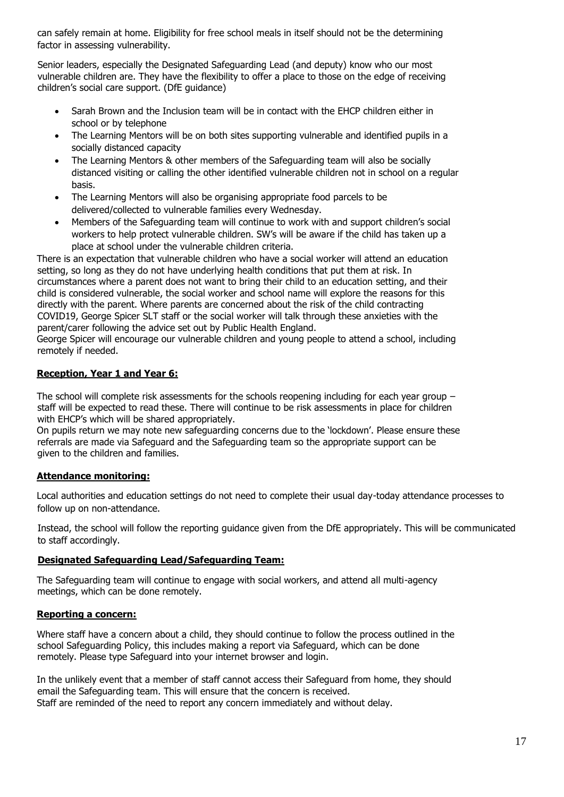can safely remain at home. Eligibility for free school meals in itself should not be the determining factor in assessing vulnerability.

Senior leaders, especially the Designated Safeguarding Lead (and deputy) know who our most vulnerable children are. They have the flexibility to offer a place to those on the edge of receiving children's social care support. (DfE guidance)

- Sarah Brown and the Inclusion team will be in contact with the EHCP children either in school or by telephone
- The Learning Mentors will be on both sites supporting vulnerable and identified pupils in a socially distanced capacity
- The Learning Mentors & other members of the Safeguarding team will also be socially distanced visiting or calling the other identified vulnerable children not in school on a regular basis.
- The Learning Mentors will also be organising appropriate food parcels to be delivered/collected to vulnerable families every Wednesday.
- Members of the Safeguarding team will continue to work with and support children's social workers to help protect vulnerable children. SW's will be aware if the child has taken up a place at school under the vulnerable children criteria.

There is an expectation that vulnerable children who have a social worker will attend an education setting, so long as they do not have underlying health conditions that put them at risk. In circumstances where a parent does not want to bring their child to an education setting, and their child is considered vulnerable, the social worker and school name will explore the reasons for this directly with the parent. Where parents are concerned about the risk of the child contracting COVID19, George Spicer SLT staff or the social worker will talk through these anxieties with the parent/carer following the advice set out by Public Health England.

George Spicer will encourage our vulnerable children and young people to attend a school, including remotely if needed.

### **Reception, Year 1 and Year 6:**

The school will complete risk assessments for the schools reopening including for each year group  $$ staff will be expected to read these. There will continue to be risk assessments in place for children with EHCP's which will be shared appropriately.

On pupils return we may note new safeguarding concerns due to the 'lockdown'. Please ensure these referrals are made via Safeguard and the Safeguarding team so the appropriate support can be given to the children and families.

# **Attendance monitoring:**

Local authorities and education settings do not need to complete their usual day-today attendance processes to follow up on non-attendance.

Instead, the school will follow the reporting guidance given from the DfE appropriately. This will be communicated to staff accordingly.

# **Designated Safeguarding Lead/Safeguarding Team:**

The Safeguarding team will continue to engage with social workers, and attend all multi-agency meetings, which can be done remotely.

### **Reporting a concern:**

Where staff have a concern about a child, they should continue to follow the process outlined in the school Safeguarding Policy, this includes making a report via Safeguard, which can be done remotely. Please type Safeguard into your internet browser and login.

In the unlikely event that a member of staff cannot access their Safeguard from home, they should email the Safeguarding team. This will ensure that the concern is received. Staff are reminded of the need to report any concern immediately and without delay.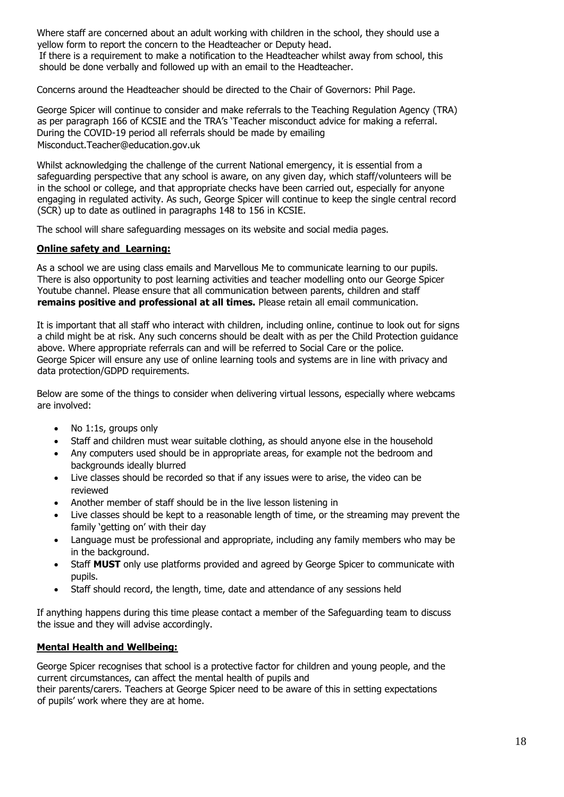Where staff are concerned about an adult working with children in the school, they should use a yellow form to report the concern to the Headteacher or Deputy head.

If there is a requirement to make a notification to the Headteacher whilst away from school, this should be done verbally and followed up with an email to the Headteacher.

Concerns around the Headteacher should be directed to the Chair of Governors: Phil Page.

George Spicer will continue to consider and make referrals to the Teaching Regulation Agency (TRA) as per paragraph 166 of KCSIE and the TRA's 'Teacher misconduct advice for making a referral. During the COVID-19 period all referrals should be made by emailing Misconduct.Teacher@education.gov.uk

Whilst acknowledging the challenge of the current National emergency, it is essential from a safeguarding perspective that any school is aware, on any given day, which staff/volunteers will be in the school or college, and that appropriate checks have been carried out, especially for anyone engaging in regulated activity. As such, George Spicer will continue to keep the single central record (SCR) up to date as outlined in paragraphs 148 to 156 in KCSIE.

The school will share safeguarding messages on its website and social media pages.

### **Online safety and Learning:**

As a school we are using class emails and Marvellous Me to communicate learning to our pupils. There is also opportunity to post learning activities and teacher modelling onto our George Spicer Youtube channel. Please ensure that all communication between parents, children and staff **remains positive and professional at all times.** Please retain all email communication.

It is important that all staff who interact with children, including online, continue to look out for signs a child might be at risk. Any such concerns should be dealt with as per the Child Protection guidance above. Where appropriate referrals can and will be referred to Social Care or the police. George Spicer will ensure any use of online learning tools and systems are in line with privacy and data protection/GDPD requirements.

Below are some of the things to consider when delivering virtual lessons, especially where webcams are involved:

- No 1:1s, groups only
- Staff and children must wear suitable clothing, as should anyone else in the household
- Any computers used should be in appropriate areas, for example not the bedroom and backgrounds ideally blurred
- Live classes should be recorded so that if any issues were to arise, the video can be reviewed
- Another member of staff should be in the live lesson listening in
- Live classes should be kept to a reasonable length of time, or the streaming may prevent the family 'getting on' with their day
- Language must be professional and appropriate, including any family members who may be in the background.
- Staff **MUST** only use platforms provided and agreed by George Spicer to communicate with pupils.
- Staff should record, the length, time, date and attendance of any sessions held

If anything happens during this time please contact a member of the Safeguarding team to discuss the issue and they will advise accordingly.

### **Mental Health and Wellbeing:**

George Spicer recognises that school is a protective factor for children and young people, and the current circumstances, can affect the mental health of pupils and

their parents/carers. Teachers at George Spicer need to be aware of this in setting expectations of pupils' work where they are at home.